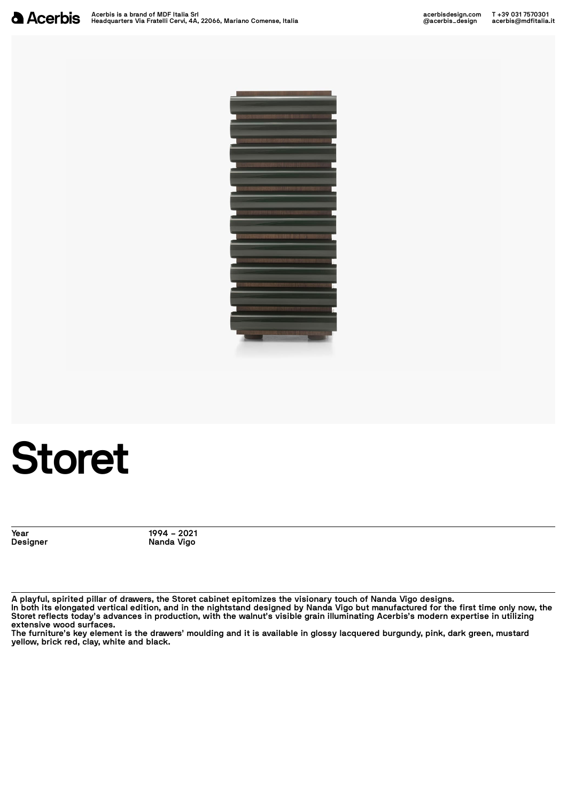

## **Storet**

**Year 1994 – 2021 Designer Nanda Vigo**

A playful, spirited pillar of drawers, the Storet cabinet epitomizes the visionary touch of Nanda Vigo designs. In both its elongated vertical edition, and in the nightstand designed by Nanda Vigo but manufactured for the first time only now, the Storet reflects today's advances in production, with the walnut's visible grain illuminating Acerbis's modern expertise in utilizing extensive wood surfaces.<br>The furniture's key element is the drawers' moulding and it is available in glossy lacquered burgundy, pink, dark green, mustard

**yellow, brick red, clay, white and black.**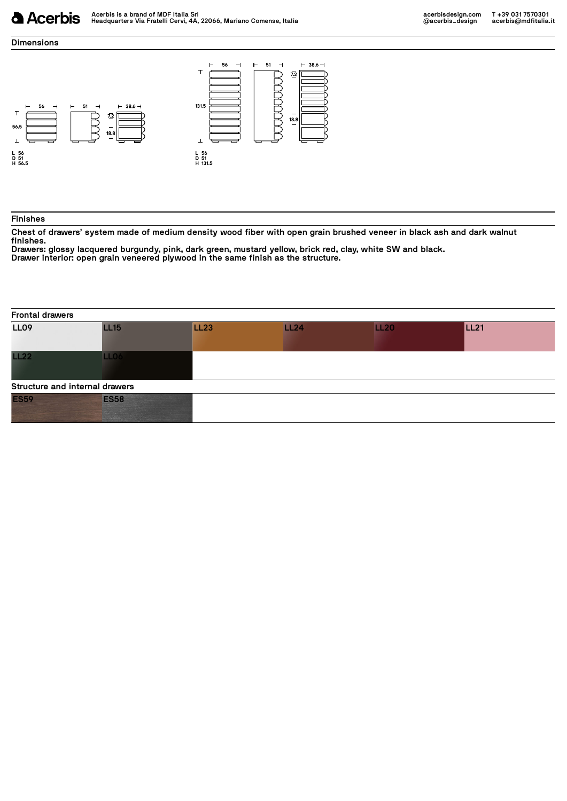## **Dimensions**



## **Finishes**

Chest of drawers' system made of medium density wood fiber with open grain brushed veneer in black ash and dark walnut

Finishes.<br>Drawers: glossy lacquered burgundy, pink, dark green, mustard yellow, brick red, clay, white SW and black.<br>Drawers: glossy lacquered burgundy, pink, dark green, mustard yellow, brick red, clay, white SW and black

**Frontal drawers LL09 LL15 LL23 LL24 LL20 LL21 LL22 LL06**

| Structure and internal drawers |  |  |  |
|--------------------------------|--|--|--|
| ES <sub>59</sub>               |  |  |  |
|                                |  |  |  |
|                                |  |  |  |